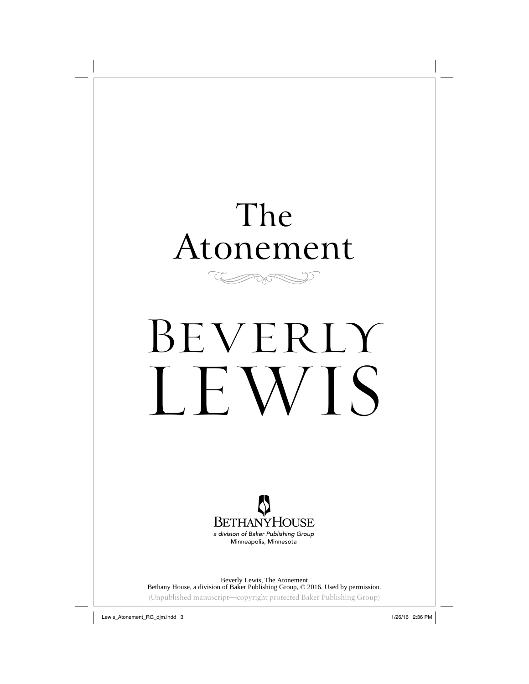# The Atonement

**CONTROL** 

# BEVERLY LEWIS

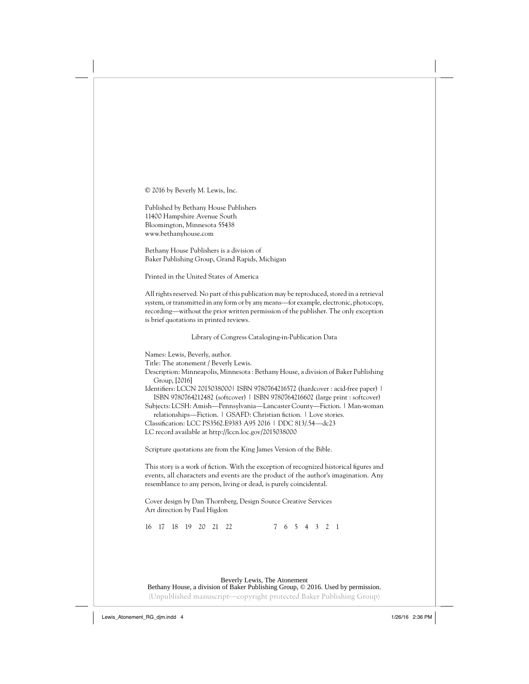© 2016 by Beverly M. Lewis, Inc.

Published by Bethany House Publishers 11400 Hampshire Avenue South Bloomington, Minnesota 55438 www.bethanyhouse.com

Bethany House Publishers is a division of Baker Publishing Group, Grand Rapids, Michigan

Printed in the United States of America

All rights reserved. No part of this publication may be reproduced, stored in a retrieval system, or transmitted in any form or by any means—for example, electronic, photocopy, recording—without the prior written permission of the publisher. The only exception is brief quotations in printed reviews.

Library of Congress Cataloging-in-Publication Data

Names: Lewis, Beverly, author.

Title: The atonement / Beverly Lewis.

Description: Minneapolis, Minnesota : Bethany House, a division of Baker Publishing Group, [2016]

Identifiers: LCCN 2015038000| ISBN 9780764216572 (hardcover : acid-free paper) | ISBN 9780764212482 (softcover) | ISBN 9780764216602 (large print : softcover)

Subjects: LCSH: Amish—Pennsylvania—Lancaster County—Fiction. | Man-woman relationships—Fiction. | GSAFD: Christian fiction. | Love stories.

Classification: LCC PS3562.E9383 A95 2016 | DDC 813/.54—dc23 LC record available at http://lccn.loc.gov/2015038000

Scripture quotations are from the King James Version of the Bible.

This story is a work of fiction. With the exception of recognized historical figures and events, all characters and events are the product of the author's imagination. Any resemblance to any person, living or dead, is purely coincidental.

Cover design by Dan Thornberg, Design Source Creative Services Art direction by Paul Higdon

16 17 18 19 20 21 22 7 6 5 4 3 2 1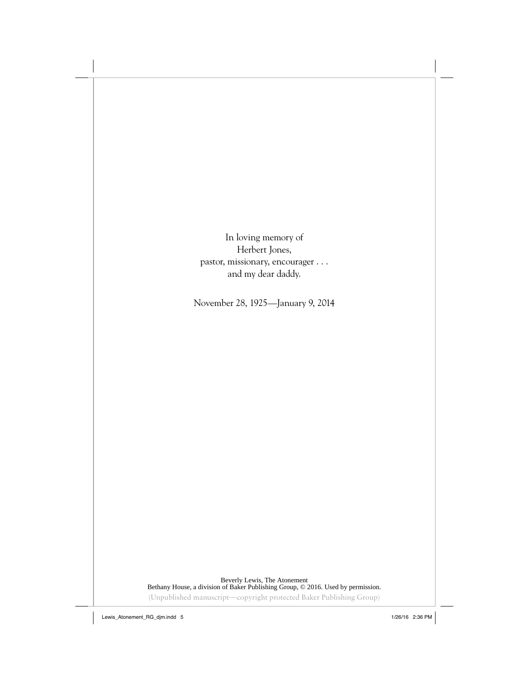In loving memory of Herbert Jones, pastor, missionary, encourager . . . and my dear daddy.

November 28, 1925—January 9, 2014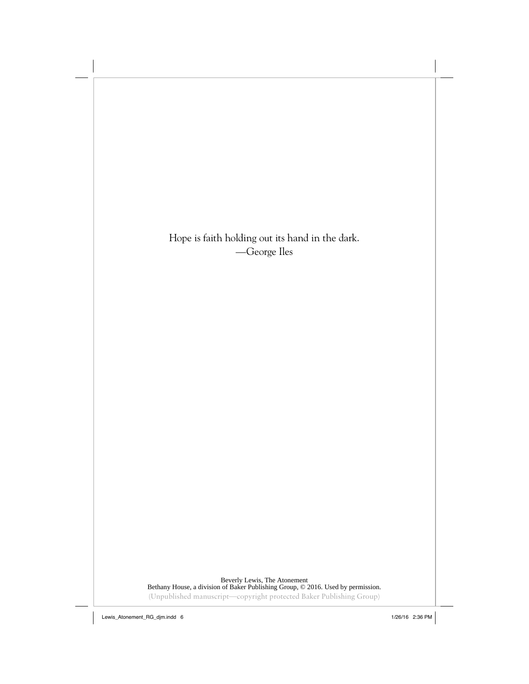Hope is faith holding out its hand in the dark. —George Iles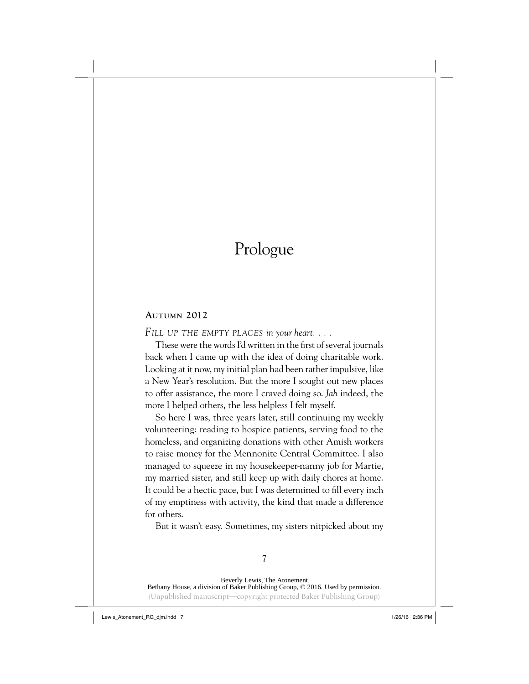### Prologue

#### **AUTUMN 2012**

*FILL UP THE EMPTY PLACES in your heart. . . .*

These were the words I'd written in the first of several journals back when I came up with the idea of doing charitable work. Looking at it now, my initial plan had been rather impulsive, like a New Year's resolution. But the more I sought out new places to offer assistance, the more I craved doing so. *Jah* indeed, the more I helped others, the less helpless I felt myself.

So here I was, three years later, still continuing my weekly volunteering: reading to hospice patients, serving food to the homeless, and organizing donations with other Amish workers to raise money for the Mennonite Central Committee. I also managed to squeeze in my housekeeper-nanny job for Martie, my married sister, and still keep up with daily chores at home. It could be a hectic pace, but I was determined to fill every inch of my emptiness with activity, the kind that made a difference for others.

But it wasn't easy. Sometimes, my sisters nitpicked about my

7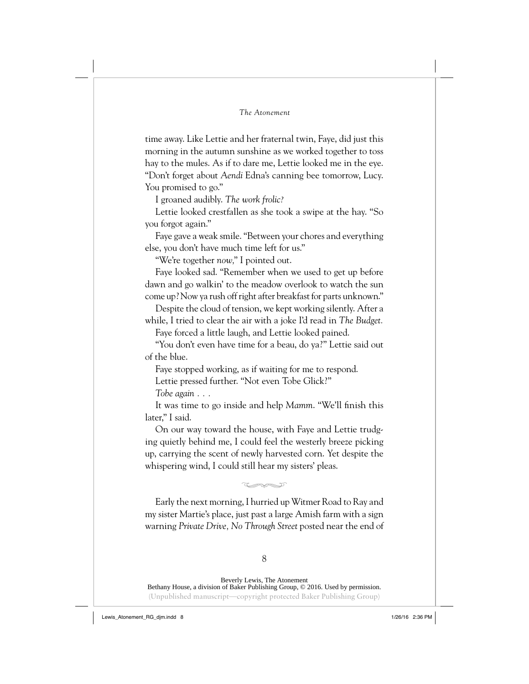time away. Like Lettie and her fraternal twin, Faye, did just this morning in the autumn sunshine as we worked together to toss hay to the mules. As if to dare me, Lettie looked me in the eye. "Don't forget about *Aendi* Edna's canning bee tomorrow, Lucy. You promised to go."

I groaned audibly. *The work frolic?*

Lettie looked crestfallen as she took a swipe at the hay. "So you forgot again."

Faye gave a weak smile. "Between your chores and everything else, you don't have much time left for us."

"We're together *now,*" I pointed out.

Faye looked sad. "Remember when we used to get up before dawn and go walkin' to the meadow overlook to watch the sun come up? Now ya rush off right after breakfast for parts unknown."

Despite the cloud of tension, we kept working silently. After a while, I tried to clear the air with a joke I'd read in *The Budget.*

Faye forced a little laugh, and Lettie looked pained.

"You don't even have time for a beau, do ya?" Lettie said out of the blue.

Faye stopped working, as if waiting for me to respond.

Lettie pressed further. "Not even Tobe Glick?"

*Tobe again . . .*

It was time to go inside and help *Mamm*. "We'll finish this later," I said.

On our way toward the house, with Faye and Lettie trudging quietly behind me, I could feel the westerly breeze picking up, carrying the scent of newly harvested corn. Yet despite the whispering wind, I could still hear my sisters' pleas.

LART

Early the next morning, I hurried up Witmer Road to Ray and my sister Martie's place, just past a large Amish farm with a sign warning *Private Drive, No Through Street* posted near the end of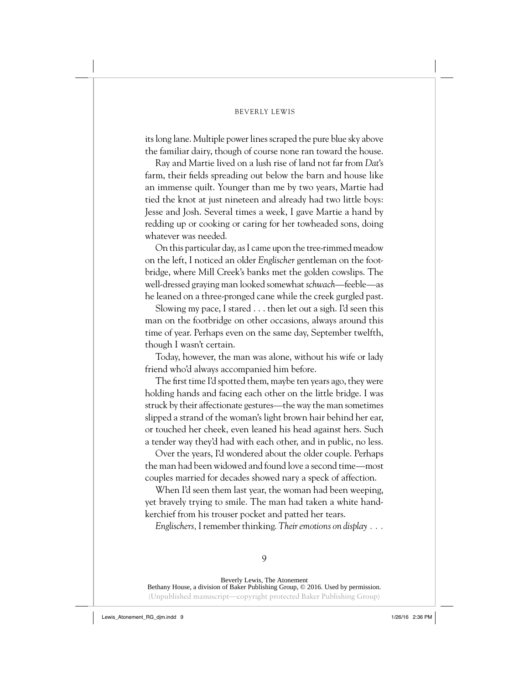its long lane. Multiple power lines scraped the pure blue sky above the familiar dairy, though of course none ran toward the house.

Ray and Martie lived on a lush rise of land not far from *Dat*'s farm, their fields spreading out below the barn and house like an immense quilt. Younger than me by two years, Martie had tied the knot at just nineteen and already had two little boys: Jesse and Josh. Several times a week, I gave Martie a hand by redding up or cooking or caring for her towheaded sons, doing whatever was needed.

On this particular day, as I came upon the tree-rimmed meadow on the left, I noticed an older *Englischer* gentleman on the footbridge, where Mill Creek's banks met the golden cowslips. The well-dressed graying man looked somewhat *schwach*—feeble—as he leaned on a three-pronged cane while the creek gurgled past.

Slowing my pace, I stared . . . then let out a sigh. I'd seen this man on the footbridge on other occasions, always around this time of year. Perhaps even on the same day, September twelfth, though I wasn't certain.

Today, however, the man was alone, without his wife or lady friend who'd always accompanied him before.

The first time I'd spotted them, maybe ten years ago, they were holding hands and facing each other on the little bridge. I was struck by their affectionate gestures—the way the man sometimes slipped a strand of the woman's light brown hair behind her ear, or touched her cheek, even leaned his head against hers. Such a tender way they'd had with each other, and in public, no less.

Over the years, I'd wondered about the older couple. Perhaps the man had been widowed and found love a second time—most couples married for decades showed nary a speck of affection.

When I'd seen them last year, the woman had been weeping, yet bravely trying to smile. The man had taken a white handkerchief from his trouser pocket and patted her tears.

*Englischers,* I remember thinking. *Their emotions on display . . .*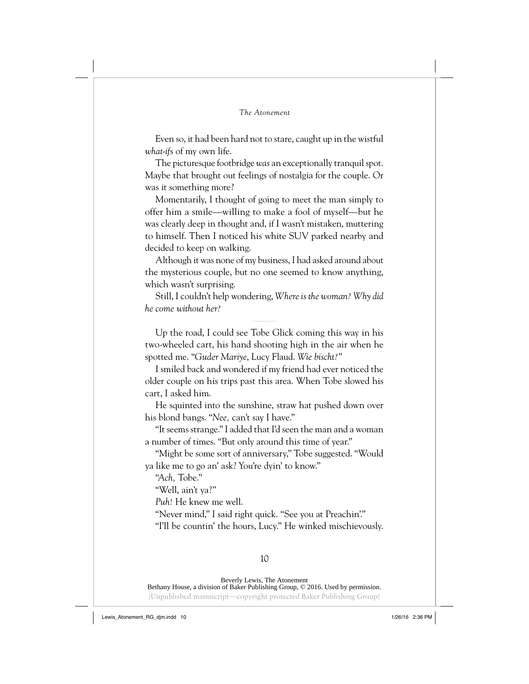Even so, it had been hard not to stare, caught up in the wistful *what-if*s of my own life.

The picturesque footbridge *was* an exceptionally tranquil spot. Maybe that brought out feelings of nostalgia for the couple. Or was it something more?

Momentarily, I thought of going to meet the man simply to offer him a smile—willing to make a fool of myself—but he was clearly deep in thought and, if I wasn't mistaken, muttering to himself. Then I noticed his white SUV parked nearby and decided to keep on walking.

Although it was none of my business, I had asked around about the mysterious couple, but no one seemed to know anything, which wasn't surprising.

Still, I couldn't help wondering, *Where is the woman? Why did he come without her?*

———

Up the road, I could see Tobe Glick coming this way in his two-wheeled cart, his hand shooting high in the air when he spotted me. "*Guder Mariye*, Lucy Flaud. *Wie bischt?*"

I smiled back and wondered if my friend had ever noticed the older couple on his trips past this area. When Tobe slowed his cart, I asked him.

He squinted into the sunshine, straw hat pushed down over his blond bangs. "*Nee,* can't say I have."

"It seems strange." I added that I'd seen the man and a woman a number of times. "But only around this time of year."

"Might be some sort of anniversary," Tobe suggested. "Would ya like me to go an' ask? You're dyin' to know."

"*Ach,* Tobe."

"Well, ain't ya?"

*Puh!* He knew me well.

"Never mind," I said right quick. "See you at Preachin'."

"I'll be countin' the hours, Lucy." He winked mischievously.

#### 10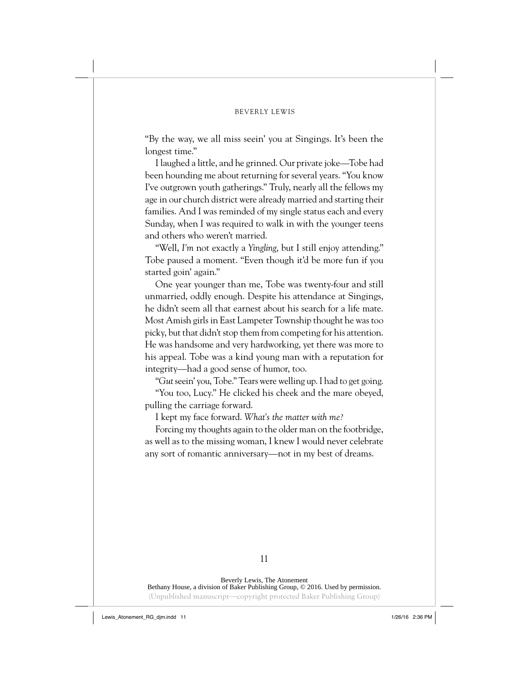"By the way, we all miss seein' you at Singings. It's been the longest time."

I laughed a little, and he grinned. Our private joke—Tobe had been hounding me about returning for several years. "You know I've outgrown youth gatherings." Truly, nearly all the fellows my age in our church district were already married and starting their families. And I was reminded of my single status each and every Sunday, when I was required to walk in with the younger teens and others who weren't married.

"Well, *I'm* not exactly a *Yingling*, but I still enjoy attending." Tobe paused a moment. "Even though it'd be more fun if you started goin' again."

One year younger than me, Tobe was twenty-four and still unmarried, oddly enough. Despite his attendance at Singings, he didn't seem all that earnest about his search for a life mate. Most Amish girls in East Lampeter Township thought he was too picky, but that didn't stop them from competing for his attention. He was handsome and very hardworking, yet there was more to his appeal. Tobe was a kind young man with a reputation for integrity—had a good sense of humor, too.

"*Gut* seein' you, Tobe." Tears were welling up. I had to get going.

"You too, Lucy." He clicked his cheek and the mare obeyed, pulling the carriage forward.

I kept my face forward. *What's the matter with me?*

Forcing my thoughts again to the older man on the footbridge, as well as to the missing woman, I knew I would never celebrate any sort of romantic anniversary—not in my best of dreams.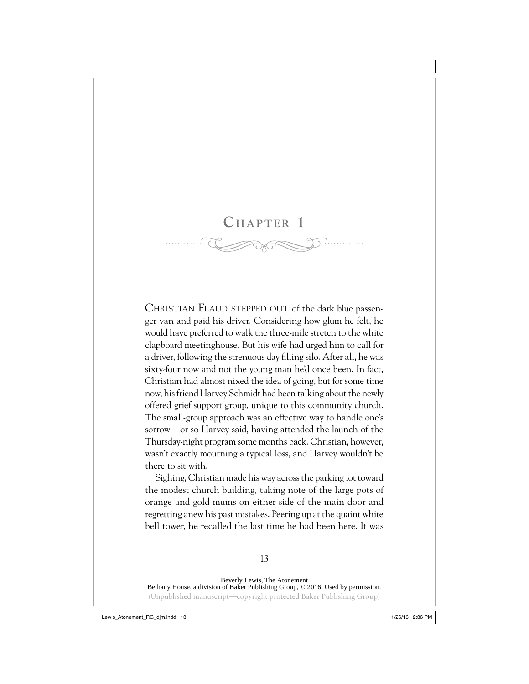## **C H A P T ER 1** TO ART

CHRISTIAN FLAUD STEPPED OUT of the dark blue passenger van and paid his driver. Considering how glum he felt, he would have preferred to walk the three-mile stretch to the white clapboard meetinghouse. But his wife had urged him to call for a driver, following the strenuous day filling silo. After all, he was sixty-four now and not the young man he'd once been. In fact, Christian had almost nixed the idea of going, but for some time now, his friend Harvey Schmidt had been talking about the newly offered grief support group, unique to this community church. The small-group approach was an effective way to handle one's sorrow—or so Harvey said, having attended the launch of the Thursday-night program some months back. Christian, however, wasn't exactly mourning a typical loss, and Harvey wouldn't be there to sit with.

Sighing, Christian made his way across the parking lot toward the modest church building, taking note of the large pots of orange and gold mums on either side of the main door and regretting anew his past mistakes. Peering up at the quaint white bell tower, he recalled the last time he had been here. It was

13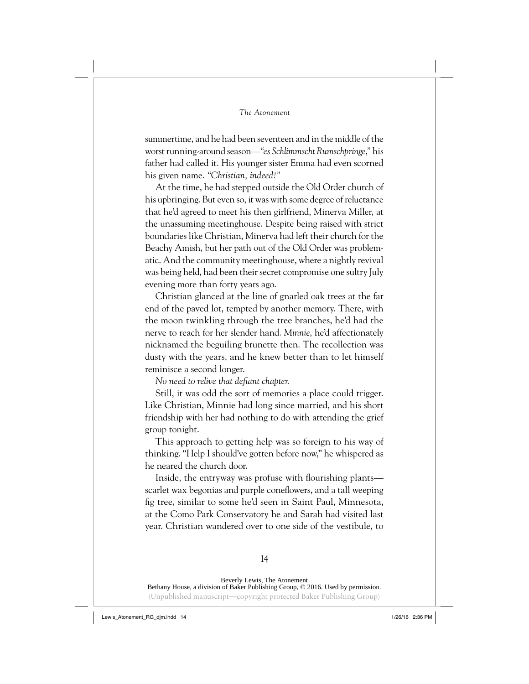summertime, and he had been seventeen and in the middle of the worst running-around season—*"es Schlimmscht Rumschpringe*,*"* his father had called it. His younger sister Emma had even scorned his given name. *"Christian, indeed!"*

At the time, he had stepped outside the Old Order church of his upbringing. But even so, it was with some degree of reluctance that he'd agreed to meet his then girlfriend, Minerva Miller, at the unassuming meetinghouse. Despite being raised with strict boundaries like Christian, Minerva had left their church for the Beachy Amish, but her path out of the Old Order was problematic. And the community meetinghouse, where a nightly revival was being held, had been their secret compromise one sultry July evening more than forty years ago.

Christian glanced at the line of gnarled oak trees at the far end of the paved lot, tempted by another memory. There, with the moon twinkling through the tree branches, he'd had the nerve to reach for her slender hand. *Minnie*, he'd affectionately nicknamed the beguiling brunette then. The recollection was dusty with the years, and he knew better than to let himself reminisce a second longer.

*No need to relive that defiant chapter.*

Still, it was odd the sort of memories a place could trigger. Like Christian, Minnie had long since married, and his short friendship with her had nothing to do with attending the grief group tonight.

This approach to getting help was so foreign to his way of thinking. "Help I should've gotten before now," he whispered as he neared the church door.

Inside, the entryway was profuse with flourishing plants scarlet wax begonias and purple coneflowers, and a tall weeping fig tree, similar to some he'd seen in Saint Paul, Minnesota, at the Como Park Conservatory he and Sarah had visited last year. Christian wandered over to one side of the vestibule, to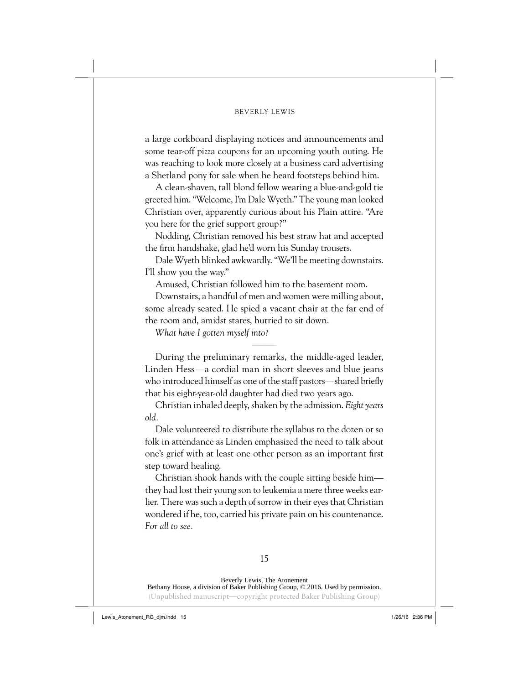a large corkboard displaying notices and announcements and some tear-off pizza coupons for an upcoming youth outing. He was reaching to look more closely at a business card advertising a Shetland pony for sale when he heard footsteps behind him.

A clean-shaven, tall blond fellow wearing a blue-and-gold tie greeted him. "Welcome, I'm Dale Wyeth." The young man looked Christian over, apparently curious about his Plain attire. "Are you here for the grief support group?"

Nodding, Christian removed his best straw hat and accepted the firm handshake, glad he'd worn his Sunday trousers.

Dale Wyeth blinked awkwardly. "We'll be meeting downstairs. I'll show you the way."

Amused, Christian followed him to the basement room.

Downstairs, a handful of men and women were milling about, some already seated. He spied a vacant chair at the far end of the room and, amidst stares, hurried to sit down.

*What have I gotten myself into?*

During the preliminary remarks, the middle-aged leader, Linden Hess—a cordial man in short sleeves and blue jeans who introduced himself as one of the staff pastors—shared briefly that his eight-year-old daughter had died two years ago.

———

Christian inhaled deeply, shaken by the admission. *Eight years old.*

Dale volunteered to distribute the syllabus to the dozen or so folk in attendance as Linden emphasized the need to talk about one's grief with at least one other person as an important first step toward healing.

Christian shook hands with the couple sitting beside him they had lost their young son to leukemia a mere three weeks earlier. There was such a depth of sorrow in their eyes that Christian wondered if he, too, carried his private pain on his countenance. *For all to see.*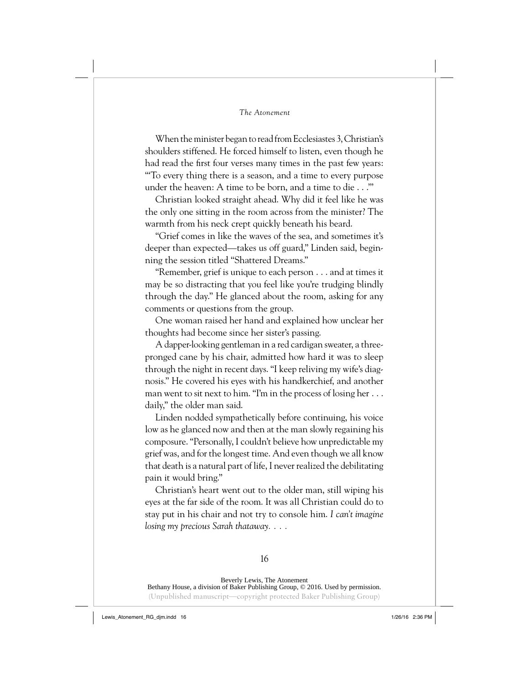#### *The Atonement*

When the minister began to read from Ecclesiastes 3, Christian's shoulders stiffened. He forced himself to listen, even though he had read the first four verses many times in the past few years: "'To every thing there is a season, and a time to every purpose under the heaven: A time to be born, and a time to die . . .'"

Christian looked straight ahead. Why did it feel like he was the only one sitting in the room across from the minister? The warmth from his neck crept quickly beneath his beard.

"Grief comes in like the waves of the sea, and sometimes it's deeper than expected—takes us off guard," Linden said, beginning the session titled "Shattered Dreams."

"Remember, grief is unique to each person . . . and at times it may be so distracting that you feel like you're trudging blindly through the day." He glanced about the room, asking for any comments or questions from the group.

One woman raised her hand and explained how unclear her thoughts had become since her sister's passing.

A dapper-looking gentleman in a red cardigan sweater, a threepronged cane by his chair, admitted how hard it was to sleep through the night in recent days. "I keep reliving my wife's diagnosis." He covered his eyes with his handkerchief, and another man went to sit next to him. "I'm in the process of losing her . . . daily," the older man said.

Linden nodded sympathetically before continuing, his voice low as he glanced now and then at the man slowly regaining his composure. "Personally, I couldn't believe how unpredictable my grief was, and for the longest time. And even though we all know that death is a natural part of life, I never realized the debilitating pain it would bring."

Christian's heart went out to the older man, still wiping his eyes at the far side of the room. It was all Christian could do to stay put in his chair and not try to console him. *I can't imagine losing my precious Sarah thataway. . . .*

16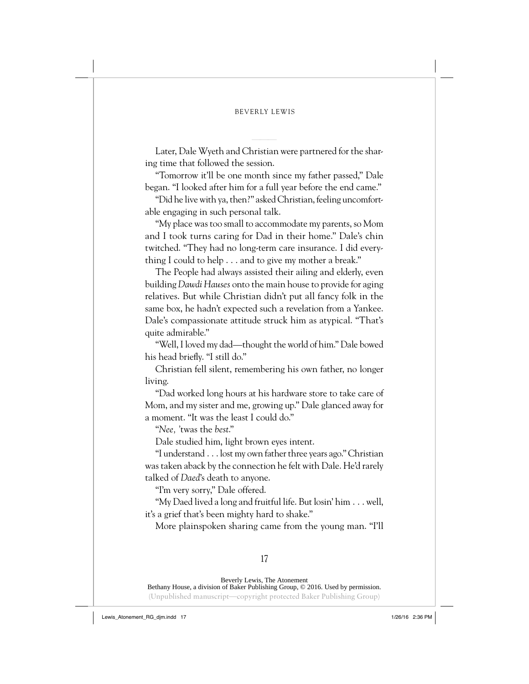Later, Dale Wyeth and Christian were partnered for the sharing time that followed the session.

———

"Tomorrow it'll be one month since my father passed," Dale began. "I looked after him for a full year before the end came."

"Did he live with ya, then?" asked Christian, feeling uncomfortable engaging in such personal talk.

"My place was too small to accommodate my parents, so Mom and I took turns caring for Dad in their home." Dale's chin twitched. "They had no long-term care insurance. I did everything I could to help . . . and to give my mother a break."

The People had always assisted their ailing and elderly, even building *Dawdi Hauses* onto the main house to provide for aging relatives. But while Christian didn't put all fancy folk in the same box, he hadn't expected such a revelation from a Yankee. Dale's compassionate attitude struck him as atypical. "That's quite admirable."

"Well, I loved my dad—thought the world of him." Dale bowed his head briefly. "I still do."

Christian fell silent, remembering his own father, no longer living.

"Dad worked long hours at his hardware store to take care of Mom, and my sister and me, growing up." Dale glanced away for a moment. "It was the least I could do."

"*Nee, '*twas the *best*."

Dale studied him, light brown eyes intent.

"I understand . . . lost my own father three years ago." Christian was taken aback by the connection he felt with Dale. He'd rarely talked of *Daed*'s death to anyone.

"I'm very sorry," Dale offered.

"My Daed lived a long and fruitful life. But losin' him . . . well, it's a grief that's been mighty hard to shake."

More plainspoken sharing came from the young man. "I'll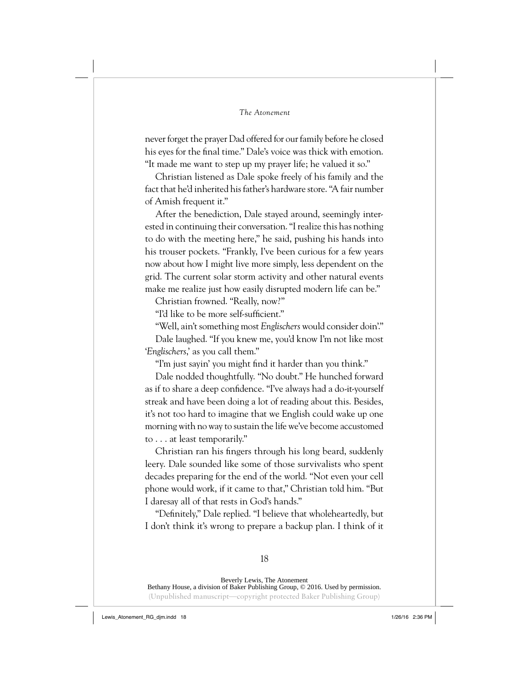never forget the prayer Dad offered for our family before he closed his eyes for the final time." Dale's voice was thick with emotion. "It made me want to step up my prayer life; he valued it so."

Christian listened as Dale spoke freely of his family and the fact that he'd inherited his father's hardware store. "A fair number of Amish frequent it."

After the benediction, Dale stayed around, seemingly interested in continuing their conversation. "I realize this has nothing to do with the meeting here," he said, pushing his hands into his trouser pockets. "Frankly, I've been curious for a few years now about how I might live more simply, less dependent on the grid. The current solar storm activity and other natural events make me realize just how easily disrupted modern life can be."

Christian frowned. "Really, now?"

"I'd like to be more self-sufficient."

"Well, ain't something most *Englischers* would consider doin'." Dale laughed. "If you knew me, you'd know I'm not like most '*Englischers*,' as you call them."

"I'm just sayin' you might find it harder than you think."

Dale nodded thoughtfully. "No doubt." He hunched forward as if to share a deep confidence. "I've always had a do-it-yourself streak and have been doing a lot of reading about this. Besides, it's not too hard to imagine that we English could wake up one morning with no way to sustain the life we've become accustomed to . . . at least temporarily."

Christian ran his fingers through his long beard, suddenly leery. Dale sounded like some of those survivalists who spent decades preparing for the end of the world. "Not even your cell phone would work, if it came to that," Christian told him. "But I daresay all of that rests in God's hands."

"Definitely," Dale replied. "I believe that wholeheartedly, but I don't think it's wrong to prepare a backup plan. I think of it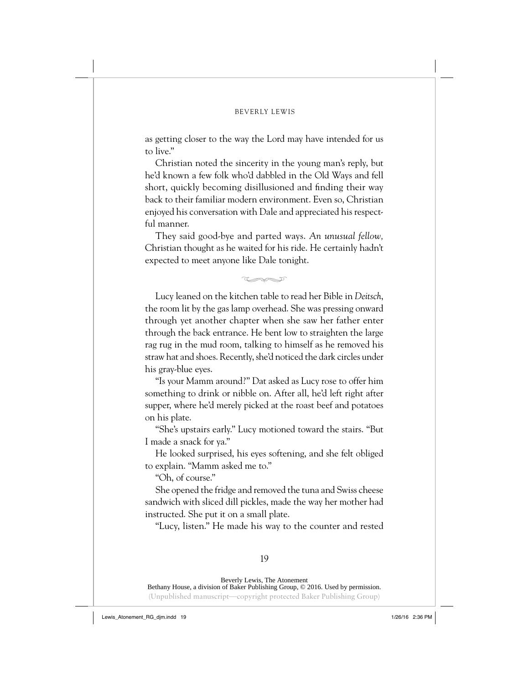as getting closer to the way the Lord may have intended for us to live."

Christian noted the sincerity in the young man's reply, but he'd known a few folk who'd dabbled in the Old Ways and fell short, quickly becoming disillusioned and finding their way back to their familiar modern environment. Even so, Christian enjoyed his conversation with Dale and appreciated his respectful manner.

They said good-bye and parted ways. *An unusual fellow,*  Christian thought as he waited for his ride. He certainly hadn't expected to meet anyone like Dale tonight.

Local

Lucy leaned on the kitchen table to read her Bible in *Deitsch*, the room lit by the gas lamp overhead. She was pressing onward through yet another chapter when she saw her father enter through the back entrance. He bent low to straighten the large rag rug in the mud room, talking to himself as he removed his straw hat and shoes. Recently, she'd noticed the dark circles under his gray-blue eyes.

"Is your Mamm around?" Dat asked as Lucy rose to offer him something to drink or nibble on. After all, he'd left right after supper, where he'd merely picked at the roast beef and potatoes on his plate.

"She's upstairs early." Lucy motioned toward the stairs. "But I made a snack for ya."

He looked surprised, his eyes softening, and she felt obliged to explain. "Mamm asked me to."

"Oh, of course."

She opened the fridge and removed the tuna and Swiss cheese sandwich with sliced dill pickles, made the way her mother had instructed. She put it on a small plate.

"Lucy, listen." He made his way to the counter and rested